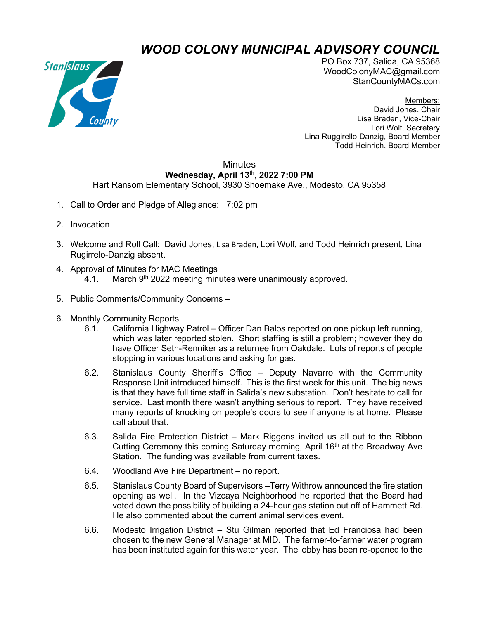## *WOOD COLONY MUNICIPAL ADVISORY COUNCIL*



PO Box 737, Salida, CA 95368 WoodColonyMAC@gmail.com StanCountyMACs.com

Members: David Jones, Chair Lisa Braden, Vice-Chair Lori Wolf, Secretary Lina Ruggirello-Danzig, Board Member Todd Heinrich, Board Member

## **Minutes Wednesday, April 13th, 2022 7:00 PM**

## Hart Ransom Elementary School, 3930 Shoemake Ave., Modesto, CA 95358

- 1. Call to Order and Pledge of Allegiance: 7:02 pm
- 2. Invocation
- 3. Welcome and Roll Call: David Jones, Lisa Braden, Lori Wolf, and Todd Heinrich present, Lina Rugirrelo-Danzig absent.
- 4. Approval of Minutes for MAC Meetings 4.1. March  $9<sup>th</sup>$  2022 meeting minutes were unanimously approved.
- 5. Public Comments/Community Concerns –
- 6. Monthly Community Reports
	- 6.1. California Highway Patrol Officer Dan Balos reported on one pickup left running, which was later reported stolen. Short staffing is still a problem; however they do have Officer Seth-Renniker as a returnee from Oakdale. Lots of reports of people stopping in various locations and asking for gas.
	- 6.2. Stanislaus County Sheriff's Office Deputy Navarro with the Community Response Unit introduced himself. This is the first week for this unit. The big news is that they have full time staff in Salida's new substation. Don't hesitate to call for service. Last month there wasn't anything serious to report. They have received many reports of knocking on people's doors to see if anyone is at home. Please call about that.
	- 6.3. Salida Fire Protection District Mark Riggens invited us all out to the Ribbon Cutting Ceremony this coming Saturday morning, April 16<sup>th</sup> at the Broadway Ave Station. The funding was available from current taxes.
	- 6.4. Woodland Ave Fire Department no report.
	- 6.5. Stanislaus County Board of Supervisors –Terry Withrow announced the fire station opening as well. In the Vizcaya Neighborhood he reported that the Board had voted down the possibility of building a 24-hour gas station out off of Hammett Rd. He also commented about the current animal services event.
	- 6.6. Modesto Irrigation District Stu Gilman reported that Ed Franciosa had been chosen to the new General Manager at MID. The farmer-to-farmer water program has been instituted again for this water year. The lobby has been re-opened to the